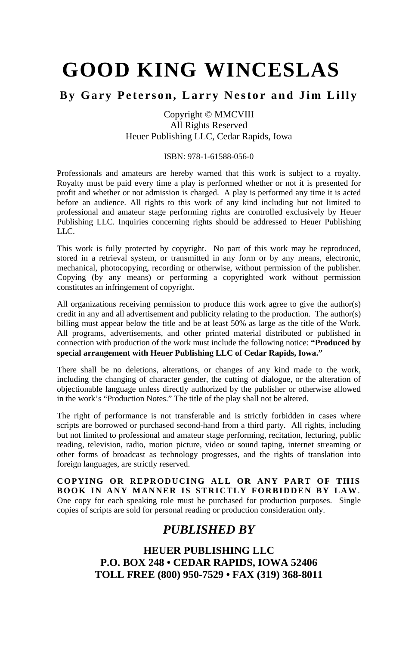# **GOOD KING WINCESLAS**

### **By Gary Peterson, Larry Nestor and Jim Lilly**

Copyright © MMCVIII All Rights Reserved Heuer Publishing LLC, Cedar Rapids, Iowa

#### ISBN: 978-1-61588-056-0

Professionals and amateurs are hereby warned that this work is subject to a royalty. Royalty must be paid every time a play is performed whether or not it is presented for profit and whether or not admission is charged. A play is performed any time it is acted before an audience. All rights to this work of any kind including but not limited to professional and amateur stage performing rights are controlled exclusively by Heuer Publishing LLC. Inquiries concerning rights should be addressed to Heuer Publishing LLC.

This work is fully protected by copyright. No part of this work may be reproduced, stored in a retrieval system, or transmitted in any form or by any means, electronic, mechanical, photocopying, recording or otherwise, without permission of the publisher. Copying (by any means) or performing a copyrighted work without permission constitutes an infringement of copyright.

All organizations receiving permission to produce this work agree to give the author(s) credit in any and all advertisement and publicity relating to the production. The author(s) billing must appear below the title and be at least 50% as large as the title of the Work. All programs, advertisements, and other printed material distributed or published in connection with production of the work must include the following notice: **"Produced by special arrangement with Heuer Publishing LLC of Cedar Rapids, Iowa."**

There shall be no deletions, alterations, or changes of any kind made to the work, including the changing of character gender, the cutting of dialogue, or the alteration of objectionable language unless directly authorized by the publisher or otherwise allowed in the work's "Production Notes." The title of the play shall not be altered.

The right of performance is not transferable and is strictly forbidden in cases where scripts are borrowed or purchased second-hand from a third party. All rights, including but not limited to professional and amateur stage performing, recitation, lecturing, public reading, television, radio, motion picture, video or sound taping, internet streaming or other forms of broadcast as technology progresses, and the rights of translation into foreign languages, are strictly reserved.

**COPYING OR REPRODUCING ALL OR ANY PART OF THIS BOOK IN ANY MANNER IS STRICTLY FORBIDDEN BY LAW**. One copy for each speaking role must be purchased for production purposes. Single copies of scripts are sold for personal reading or production consideration only.

## *PUBLISHED BY*

**HEUER PUBLISHING LLC P.O. BOX 248 • CEDAR RAPIDS, IOWA 52406 TOLL FREE (800) 950-7529 • FAX (319) 368-8011**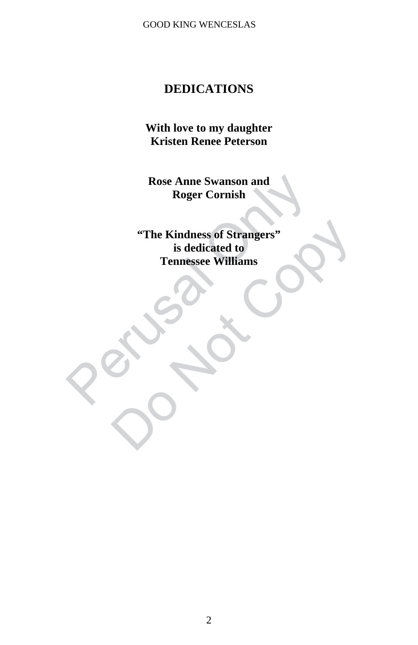GOOD KING WENCESLAS

## **DEDICATIONS**

**With love to my daughter Kristen Renee Peterson** 

**Rose Anne Swanson and Roger Cornish** 

Rose Anne Swanson and<br>Roger Cornish<br>Roger Cornish<br>Si dedicated to<br>Tennessee Williams<br>Cornel of Strangers<br>Cornel of Strangers<br>Cornel of Strangers<br>Cornel of Strangers<br>Cornel of Strangers<br>Cornel of Strangers<br>Cornel of Strange "The Kindness of Strangers"<br>
is dedicated to<br>
Tennessee Williams<br>
Copyright Copyright<br>
Copyright<br>
Copyright<br>
Copyright<br>
Copyright<br>
Copyright<br>
Copyright<br>
Copyright<br>
Copyright<br>
Copyright<br>
Copyright<br>
Copyright<br>
Copyright<br>
Cop **"The Kindness of Strangers" is dedicated to Tennessee Williams**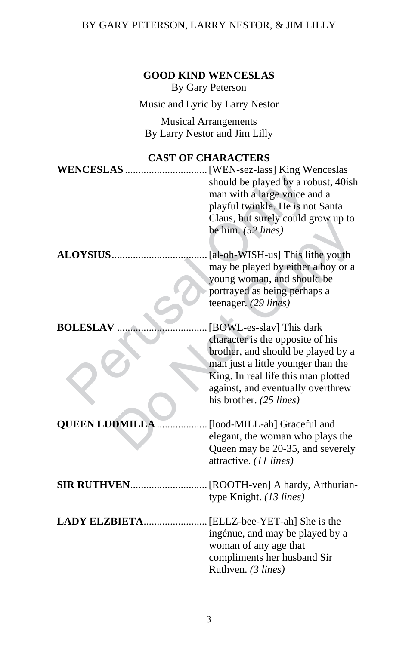## BY GARY PETERSON, LARRY NESTOR, & JIM LILLY

| <b>GOOD KIND WENCESLAS</b><br>By Gary Peterson               |                                                                                                                                                                                                                                                 |
|--------------------------------------------------------------|-------------------------------------------------------------------------------------------------------------------------------------------------------------------------------------------------------------------------------------------------|
| Music and Lyric by Larry Nestor                              |                                                                                                                                                                                                                                                 |
| <b>Musical Arrangements</b><br>By Larry Nestor and Jim Lilly |                                                                                                                                                                                                                                                 |
| <b>CAST OF CHARACTERS</b>                                    |                                                                                                                                                                                                                                                 |
|                                                              | should be played by a robust, 40ish<br>man with a large voice and a<br>playful twinkle. He is not Santa<br>Claus, but surely could grow up to<br>be him. (52 lines)                                                                             |
| <b>ALOYSIUS</b>                                              | [al-oh-WISH-us] This lithe youth<br>may be played by either a boy or a<br>young woman, and should be<br>portrayed as being perhaps a<br>teenager. (29 lines)                                                                                    |
| <b>BOLESLAV</b>                                              | [BOWL-es-slav] This dark<br>character is the opposite of his<br>brother, and should be played by a<br>man just a little younger than the<br>King. In real life this man plotted<br>against, and eventually overthrew<br>his brother. (25 lines) |
| <b>QUEEN LUDMILLA.</b>                                       | [lood-MILL-ah] Graceful and<br>elegant, the woman who plays the<br>Queen may be 20-35, and severely<br>attractive. (11 lines)                                                                                                                   |
|                                                              | type Knight. (13 lines)                                                                                                                                                                                                                         |
| LADY ELZBIETA                                                | [ELLZ-bee-YET-ah] She is the<br>ingénue, and may be played by a<br>woman of any age that<br>compliments her husband Sir<br>Ruthven. (3 lines)                                                                                                   |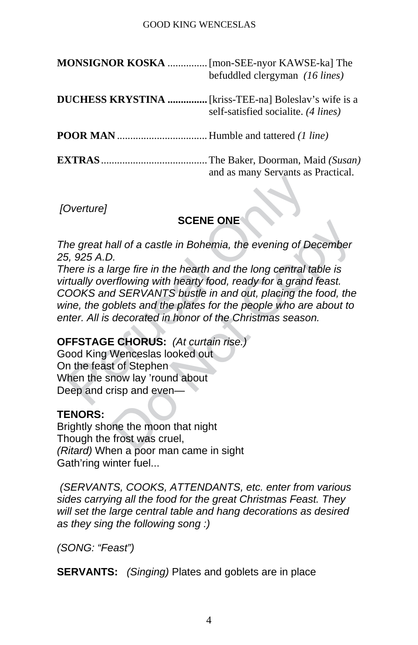#### GOOD KING WENCESLAS

| MONSIGNOR KOSKA  [mon-SEE-nyor KAWSE-ka] The | befuddled clergyman (16 lines)                                                                      |
|----------------------------------------------|-----------------------------------------------------------------------------------------------------|
|                                              | <b>DUCHESS KRYSTINA </b> [kriss-TEE-na] Boleslav's wife is a<br>self-satisfied socialite. (4 lines) |
|                                              |                                                                                                     |
|                                              | and as many Servants as Practical.                                                                  |

 *[Overture]* 

#### **SCENE ONE**

*The great hall of a castle in Bohemia, the evening of December 25, 925 A.D.* 

SCENE ONE<br>
SCENE ONE<br>
the great hall of a castle in Bohemia, the evening of De<br>
5, 925 A.D.<br>
there is a large fire in the hearth and the long central tertually overflowing with hearty food, ready for a grand<br>
OOKS and SERV SUENE ONE<br>
all of a castle in Bohemia, the evening of December<br>
D.<br>
arge fire in the hearth and the long central table is<br>
arflowing with hearty food, ready for a grand feast.<br>
d SERVANTS bustle in and out, placing the foo *There is a large fire in the hearth and the long central table is virtually overflowing with hearty food, ready for a grand feast. COOKS and SERVANTS bustle in and out, placing the food, the wine, the goblets and the plates for the people who are about to enter. All is decorated in honor of the Christmas season.* 

#### **OFFSTAGE CHORUS:** *(At curtain rise.)*

Good King Wenceslas looked out On the feast of Stephen When the snow lay 'round about Deep and crisp and even—

#### **TENORS:**

Brightly shone the moon that night Though the frost was cruel, *(Ritard)* When a poor man came in sight Gath'ring winter fuel...

 *(SERVANTS, COOKS, ATTENDANTS, etc. enter from various sides carrying all the food for the great Christmas Feast. They will set the large central table and hang decorations as desired as they sing the following song :)* 

*(SONG: "Feast")*

**SERVANTS:** *(Singing)* Plates and goblets are in place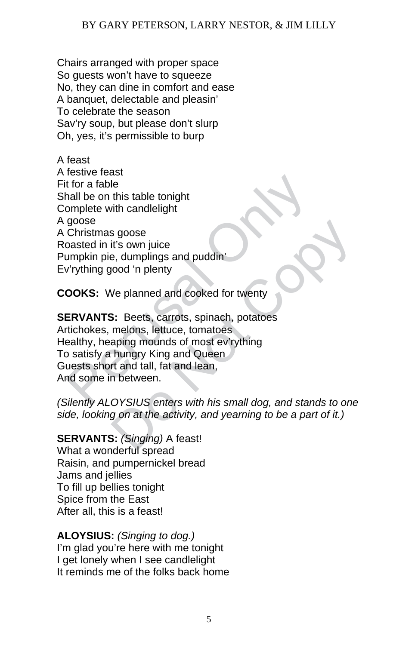Chairs arranged with proper space So guests won't have to squeeze No, they can dine in comfort and ease A banquet, delectable and pleasin' To celebrate the season Sav'ry soup, but please don't slurp Oh, yes, it's permissible to burp

For a fable<br>
t for a fable<br>
t for a fable<br>
mall be on this table tonight<br>
goose<br>
Christmas goose<br>
Christmas goose<br>
Christmas goose<br>
Christmas goose<br>
Christmas goose<br>
Christmas good 'n plenty<br>
v'rything good 'n plenty<br>
COOK A feast A festive feast Fit for a fable Shall be on this table tonight Complete with candlelight A goose A Christmas goose Roasted in it's own juice Pumpkin pie, dumplings and puddin' Ev'rything good 'n plenty

**COOKS:** We planned and cooked for twenty

s goose<br>
it's own juice<br>
e, dumplings and puddin'<br>
yood 'n plenty<br>
We planned and cooked for twenty<br>
3: Beets, carrots, spinach, potatoes<br>
melons, lettuce, tomatoes<br>
melons, lettuce, tomatoes<br>
aping mounds of most ev'rythi **SERVANTS:** Beets, carrots, spinach, potatoes Artichokes, melons, lettuce, tomatoes Healthy, heaping mounds of most ev'rything To satisfy a hungry King and Queen Guests short and tall, fat and lean, And some in between.

*(Silently ALOYSIUS enters with his small dog, and stands to one side, looking on at the activity, and yearning to be a part of it.)* 

**SERVANTS:** *(Singing)* A feast!

What a wonderful spread Raisin, and pumpernickel bread Jams and jellies To fill up bellies tonight Spice from the East After all, this is a feast!

**ALOYSIUS:** *(Singing to dog.)* I'm glad you're here with me tonight I get lonely when I see candlelight It reminds me of the folks back home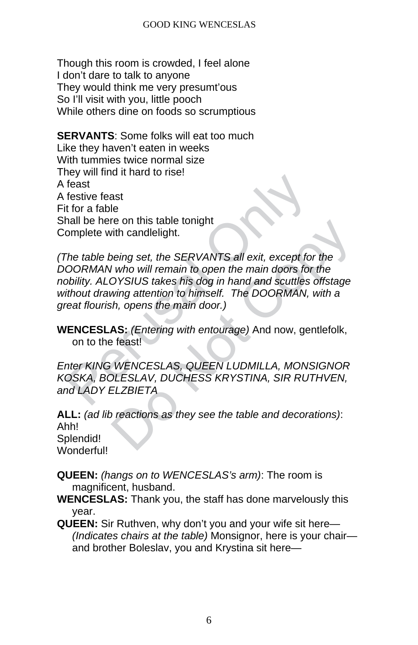Though this room is crowded, I feel alone I don't dare to talk to anyone They would think me very presumt'ous So I'll visit with you, little pooch While others dine on foods so scrumptious

**SERVANTS:** Some folks will eat too much Like they haven't eaten in weeks With tummies twice normal size They will find it hard to rise! A feast A festive feast Fit for a fable Shall be here on this table tonight Complete with candlelight.

Franchistand and a most<br>feast<br>feast<br>to a fable<br>hall be here on this table tonight<br>omplete with candlelight.<br>The table being set, the SERVANTS all exit, except for<br>OORMAN who will remain to open the main doors for<br>bility. A rith candlelight.<br>
Doeing set, the SERVANTS all exit, except for the<br>
U who will remain to open the main doors for the<br>
DYSIUS takes his dog in hand and scuttles offstage<br>
wing attention to himself. The DOORMAN, with a<br>
sh *(The table being set, the SERVANTS all exit, except for the DOORMAN who will remain to open the main doors for the nobility. ALOYSIUS takes his dog in hand and scuttles offstage without drawing attention to himself. The DOORMAN, with a great flourish, opens the main door.)* 

**WENCESLAS:** *(Entering with entourage)* And now, gentlefolk, on to the feast!

*Enter KING WENCESLAS, QUEEN LUDMILLA, MONSIGNOR KOSKA, BOLESLAV, DUCHESS KRYSTINA, SIR RUTHVEN, and LADY ELZBIETA* 

**ALL:** *(ad lib reactions as they see the table and decorations)*: Ahh! Splendid! Wonderful!

- **QUEEN:** *(hangs on to WENCESLAS's arm)*: The room is magnificent, husband.
- **WENCESLAS:** Thank you, the staff has done marvelously this year.
- **QUEEN:** Sir Ruthven, why don't you and your wife sit here— *(Indicates chairs at the table)* Monsignor, here is your chair and brother Boleslav, you and Krystina sit here—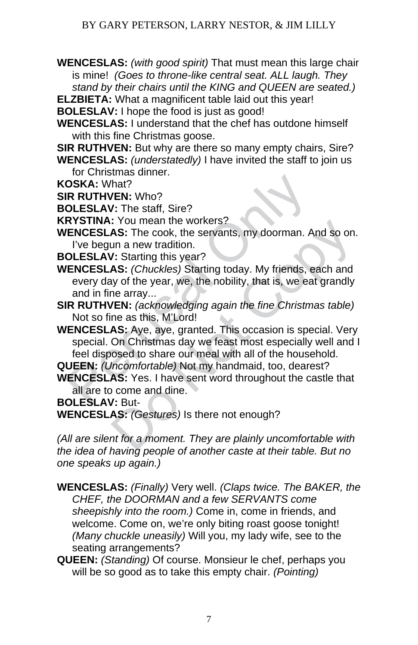**WENCESLAS:** *(with good spirit)* That must mean this large chair is mine! *(Goes to throne-like central seat. ALL laugh. They stand by their chairs until the KING and QUEEN are seated.)*

**ELZBIETA:** What a magnificent table laid out this year!

**BOLESLAV:** I hope the food is just as good!

- **WENCESLAS:** I understand that the chef has outdone himself with this fine Christmas goose.
- **SIR RUTHVEN:** But why are there so many empty chairs, Sire?
- **WENCESLAS:** *(understatedly)* I have invited the staff to join us for Christmas dinner.
- **KOSKA:** What?

**SIR RUTHVEN:** Who?

**BOLESLAV:** The staff, Sire?

**KRYSTINA:** You mean the workers?

- **WENCESLAS:** The cook, the servants, my doorman. And so on. I've begun a new tradition.
- **BOLESLAV:** Starting this year?
- **WENCESLAS:** *(Chuckles)* Starting today. My friends, each and every day of the year, we, the nobility, that is, we eat grandly and in fine array...
- **SIR RUTHVEN:** *(acknowledging again the fine Christmas table)* Not so fine as this, M'Lord!
- **OSKA:** What?<br> **RR RUTHVEN:** Who?<br> **OLESLAV:** The staff, Sire?<br> **RYSTINA:** You mean the workers?<br> **RYSTINA:** You mean the workers?<br> **ENCESLAS:** The cook, the servants, my doorman. A<br>
l've begun a new tradition.<br> **OLESLAV:** Common an express of the server of AS: The cook, the servants, my doorman. And so on.<br>
In a new tradition.<br>
1. Starting this year?<br>
AS: Chuckles) Starting today. My friends, each and<br>
AS: Chuckles) Starting today. My frien **WENCESLAS:** Aye, aye, granted. This occasion is special. Very special. On Christmas day we feast most especially well and I feel disposed to share our meal with all of the household.

**QUEEN:** *(Uncomfortable)* Not my handmaid, too, dearest?

**WENCESLAS:** Yes. I have sent word throughout the castle that all are to come and dine.

**BOLESLAV:** But-

**WENCESLAS:** *(Gestures)* Is there not enough?

*(All are silent for a moment. They are plainly uncomfortable with the idea of having people of another caste at their table. But no one speaks up again.)* 

**WENCESLAS:** *(Finally)* Very well. *(Claps twice. The BAKER, the CHEF, the DOORMAN and a few SERVANTS come sheepishly into the room.)* Come in, come in friends, and welcome. Come on, we're only biting roast goose tonight! *(Many chuckle uneasily)* Will you, my lady wife, see to the seating arrangements?

**QUEEN:** *(Standing)* Of course. Monsieur le chef, perhaps you will be so good as to take this empty chair. *(Pointing)*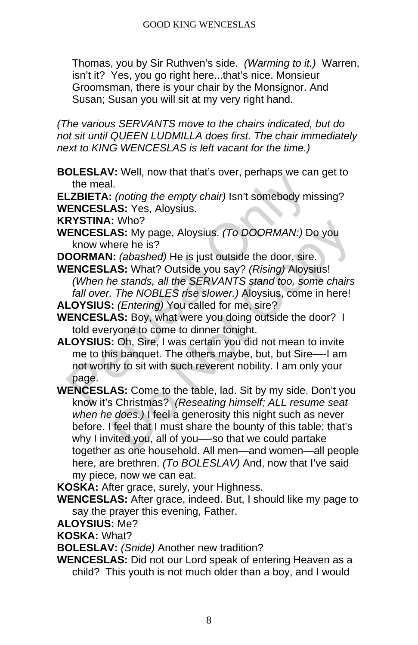Thomas, you by Sir Ruthven's side. *(Warming to it.)* Warren, isn't it? Yes, you go right here...that's nice. Monsieur Groomsman, there is your chair by the Monsignor. And Susan; Susan you will sit at my very right hand.

*(The various SERVANTS move to the chairs indicated, but do not sit until QUEEN LUDMILLA does first. The chair immediately next to KING WENCESLAS is left vacant for the time.)* 

**BOLESLAV:** Well, now that that's over, perhaps we can get to the meal.

**ELZBIETA:** *(noting the empty chair)* Isn't somebody missing? **WENCESLAS:** Yes, Aloysius.

**KRYSTINA:** Who?

- **WENCESLAS:** My page, Aloysius. *(To DOORMAN:)* Do you know where he is?
- **DOORMAN:** *(abashed)* He is just outside the door, sire.
- **WENCESLAS:** What? Outside you say? *(Rising)* Aloysius! *(When he stands, all the SERVANTS stand too, some chairs fall over. The NOBLES rise slower.)* Aloysius, come in here! **ALOYSIUS:** *(Entering)* You called for me, sire?

**WENCESLAS:** Boy, what were you doing outside the door? I told everyone to come to dinner tonight.

- The meal.<br>
The meal.<br>
The meal.<br>
LZBIETA: (noting the empty chair) Isn't somebody mist<br> **ENCESLAS:** Yes, Aloysius.<br>
RYSTINA: Who?<br> **ENCESLAS:** My page, Aloysius. (*To DOORMAN:) De*<br>
know where he is?<br> **OORMAN:** (abashed) H **ALOYSIUS:** Oh, Sire, I was certain you did not mean to invite me to this banquet. The others maybe, but, but Sire—-I am not worthy to sit with such reverent nobility. I am only your page.
- CONSITY IN the signal control of the team of the sitted you.<br>
1. (absolved the signal control of the sitted of the sitted) He is just outside the door, sire.<br>
1. (absolved Copy Equal Copy 1 (Rising) Aloysius!<br>
1. (absolved **WENCESLAS:** Come to the table, lad. Sit by my side. Don't you know it's Christmas? *(Reseating himself; ALL resume seat when he does.)* I feel a generosity this night such as never before. I feel that I must share the bounty of this table; that's why I invited you, all of you—-so that we could partake together as one household. All men—and women—all people here, are brethren. *(To BOLESLAV)* And, now that I've said my piece, now we can eat.

**KOSKA:** After grace, surely, your Highness.

- **WENCESLAS:** After grace, indeed. But, I should like my page to say the prayer this evening, Father.
- **ALOYSIUS:** Me?

**KOSKA:** What?

**BOLESLAV:** *(Snide)* Another new tradition?

**WENCESLAS:** Did not our Lord speak of entering Heaven as a child? This youth is not much older than a boy, and I would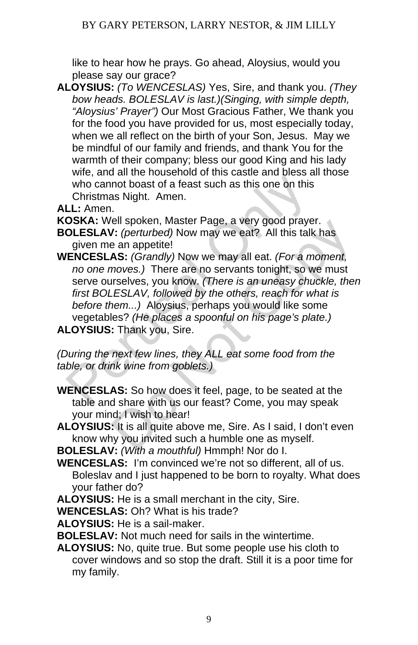like to hear how he prays. Go ahead, Aloysius, would you please say our grace?

**ALOYSIUS:** *(To WENCESLAS)* Yes, Sire, and thank you. *(They bow heads. BOLESLAV is last.)(Singing, with simple depth, "Aloysius' Prayer")* Our Most Gracious Father, We thank you for the food you have provided for us, most especially today, when we all reflect on the birth of your Son, Jesus. May we be mindful of our family and friends, and thank You for the warmth of their company; bless our good King and his lady wife, and all the household of this castle and bless all those who cannot boast of a feast such as this one on this Christmas Night. Amen.

**ALL:** Amen.

**KOSKA:** Well spoken, Master Page, a very good prayer.

- **BOLESLAV:** *(perturbed)* Now may we eat? All this talk has given me an appetite!
- who cannot boast of a feast such as this one on this<br>
who cannot boast of a feast such as this one on this<br>
Christmas Night. Amen.<br> **LL:** Amen.<br> **OSKA:** Well spoken, Master Page, a very good praye<br> **OLESLAV:** (perturbed) N ell spoken, Master Page, a very good prayer.<br>
I: (perturbed) Now may we eat? All this talk has<br>
e an appetite!<br> **AS:** (Grandly) Now we may all eat. (For a moment,<br>
moves.) There are no servants tonight, so we must<br>
urselve **WENCESLAS:** *(Grandly)* Now we may all eat. *(For a moment, no one moves.)* There are no servants tonight, so we must serve ourselves, you know. *(There is an uneasy chuckle, then first BOLESLAV, followed by the others, reach for what is before them...)* Aloysius, perhaps you would like some vegetables? *(He places a spoonful on his page's plate.)* **ALOYSIUS:** Thank you, Sire.

*(During the next few lines, they ALL eat some food from the table, or drink wine from goblets.)* 

**WENCESLAS:** So how does it feel, page, to be seated at the table and share with us our feast? Come, you may speak your mind; I wish to hear!

**ALOYSIUS:** It is all quite above me, Sire. As I said, I don't even know why you invited such a humble one as myself.

**BOLESLAV:** *(With a mouthful)* Hmmph! Nor do I.

- **WENCESLAS:** I'm convinced we're not so different, all of us. Boleslav and I just happened to be born to royalty. What does your father do?
- **ALOYSIUS:** He is a small merchant in the city, Sire.

**WENCESLAS:** Oh? What is his trade?

**ALOYSIUS:** He is a sail-maker.

**BOLESLAV:** Not much need for sails in the wintertime.

**ALOYSIUS:** No, quite true. But some people use his cloth to cover windows and so stop the draft. Still it is a poor time for my family.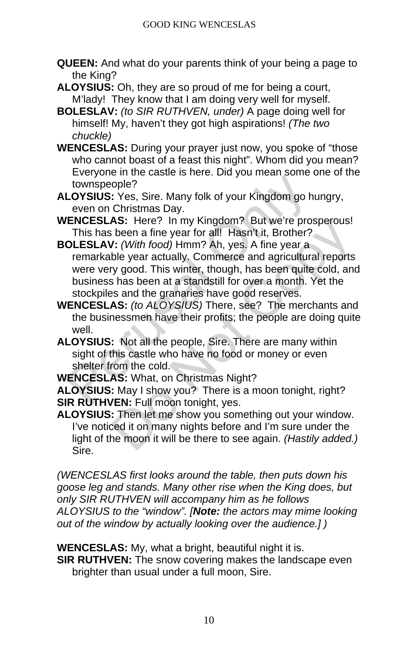- **QUEEN:** And what do your parents think of your being a page to the King?
- **ALOYSIUS:** Oh, they are so proud of me for being a court, M'lady! They know that I am doing very well for myself.
- **BOLESLAV:** *(to SIR RUTHVEN, under)* A page doing well for himself! My, haven't they got high aspirations! *(The two chuckle)*
- **WENCESLAS:** During your prayer just now, you spoke of "those who cannot boast of a feast this night". Whom did you mean? Everyone in the castle is here. Did you mean some one of the townspeople?
- **ALOYSIUS:** Yes, Sire. Many folk of your Kingdom go hungry, even on Christmas Day.
- **WENCESLAS:** Here? In my Kingdom? But we're prosperous! This has been a fine year for all! Hasn't it, Brother?
- Everyone in the castle is nest. But you Kingdom go his townspeople?<br>
LOYSIUS: Yes, Sire. Many folk of your Kingdom go hieven on Christmas Day.<br>
VENCESLAS: Here? In my Kingdom? But we're prosenting the search after your Min AS: Here? In my Kingdom? But we re prosperous!<br>
been a fine year for all! Hasn't it, Brother?<br>
1: (With food) Hmm? Ah, yes. A fine year a<br>
ble year actually. Commerce and agricultural reports<br>
ble year actually. Commerce a **BOLESLAV:** *(With food)* Hmm? Ah, yes. A fine year a remarkable year actually. Commerce and agricultural reports were very good. This winter, though, has been quite cold, and business has been at a standstill for over a month. Yet the stockpiles and the granaries have good reserves.
- **WENCESLAS:** *(to ALOYSIUS)* There, see? The merchants and the businessmen have their profits; the people are doing quite well.
- **ALOYSIUS:** Not all the people, Sire. There are many within sight of this castle who have no food or money or even shelter from the cold.

**WENCESLAS:** What, on Christmas Night?

**ALOYSIUS:** May I show you? There is a moon tonight, right? **SIR RUTHVEN:** Full moon tonight, yes.

**ALOYSIUS:** Then let me show you something out your window. I've noticed it on many nights before and I'm sure under the light of the moon it will be there to see again. *(Hastily added.)* Sire.

*(WENCESLAS first looks around the table, then puts down his goose leg and stands. Many other rise when the King does, but only SIR RUTHVEN will accompany him as he follows ALOYSIUS to the "window". [Note: the actors may mime looking out of the window by actually looking over the audience.] )* 

**WENCESLAS:** My, what a bright, beautiful night it is.

**SIR RUTHVEN:** The snow covering makes the landscape even brighter than usual under a full moon, Sire.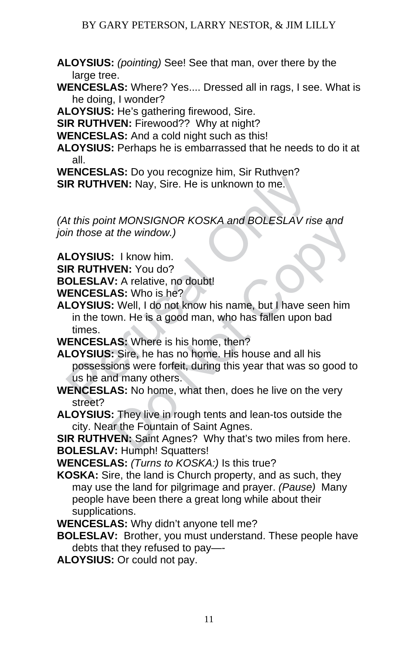**ALOYSIUS:** *(pointing)* See! See that man, over there by the large tree.

**WENCESLAS:** Where? Yes.... Dressed all in rags, I see. What is he doing, I wonder?

**ALOYSIUS:** He's gathering firewood, Sire.

**SIR RUTHVEN: Firewood?? Why at night?** 

**WENCESLAS:** And a cold night such as this!

**ALOYSIUS:** Perhaps he is embarrassed that he needs to do it at all.

**WENCESLAS:** Do you recognize him, Sir Ruthven? **SIR RUTHVEN:** Nay, Sire. He is unknown to me.

*(At this point MONSIGNOR KOSKA and BOLESLAV rise and join those at the window.)* 

**ALOYSIUS:** I know him.

**SIR RUTHVEN:** You do?

**BOLESLAV:** A relative, no doubt!

**WENCESLAS:** Who is he?

**ALOYSIUS:** Well, I do not know his name, but I have seen him in the town. He is a good man, who has fallen upon bad times.

**WENCESLAS:** Where is his home, then?

**EXECUTE:** Do you coolynce thin, on transmit<br>
IR RUTHVEN: Nay, Sire. He is unknown to me.<br>
At this point MONSIGNOR KOSKA and BOLESLAV ris<br>
in those at the window.)<br> **LOYSIUS:** I know him.<br>
IR RUTHVEN: You do?<br> **OLESLAV:** A It MONSIGNOR KOSKA and BOLESLAV rise and<br>
t the window.)<br>
: I know him.<br> **EN:** You do?<br> **Z.** A relative, no doubt!<br> **AS:** Who is he?<br>
: Well, I do not know his name, but I have seen him<br>
wn. He is a good man, who has falle **ALOYSIUS:** Sire, he has no home. His house and all his possessions were forfeit, during this year that was so good to us he and many others.

**WENCESLAS:** No home, what then, does he live on the very street?

**ALOYSIUS:** They live in rough tents and lean-tos outside the city. Near the Fountain of Saint Agnes.

**SIR RUTHVEN:** Saint Agnes? Why that's two miles from here. **BOLESLAV: Humph! Squatters!** 

**WENCESLAS:** *(Turns to KOSKA:)* Is this true?

**KOSKA:** Sire, the land is Church property, and as such, they may use the land for pilgrimage and prayer. *(Pause)* Many people have been there a great long while about their supplications.

**WENCESLAS:** Why didn't anyone tell me?

**BOLESLAV:** Brother, you must understand. These people have debts that they refused to pay—-

**ALOYSIUS:** Or could not pay.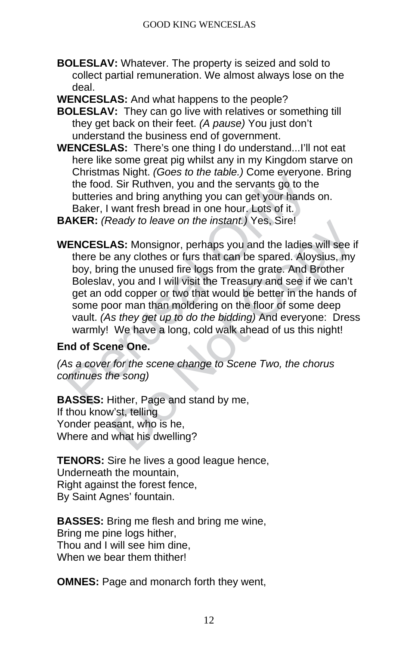- **BOLESLAV:** Whatever. The property is seized and sold to collect partial remuneration. We almost always lose on the deal.
- **WENCESLAS:** And what happens to the people?
- **BOLESLAV:** They can go live with relatives or something till they get back on their feet. *(A pause)* You just don't understand the business end of government.
- **WENCESLAS:** There's one thing I do understand...I'll not eat here like some great pig whilst any in my Kingdom starve on Christmas Night. *(Goes to the table.)* Come everyone. Bring the food. Sir Ruthven, you and the servants go to the butteries and bring anything you can get your hands on. Baker, I want fresh bread in one hour. Lots of it.

**BAKER:** *(Ready to leave on the instant.)* Yes, Sire!

the food. Sir Ruthven, you and the servants go to the food. Sir Ruthven, you and the servants go to the butteries and bring anything you can get your hands Baker, I want fresh bread in one hour. Lots of it. **AKER:** (*Ready* ready to leave on the instant.) Yes, Sire!<br>
AS: Monsignor, perhaps you and the ladies will see if<br>
any clothes or furs that can be spared. Aloysius, my<br>
ng the unused fire logs from the grate. And Brother<br>
r, you and I wil **WENCESLAS:** Monsignor, perhaps you and the ladies will see if there be any clothes or furs that can be spared. Aloysius, my boy, bring the unused fire logs from the grate. And Brother Boleslav, you and I will visit the Treasury and see if we can't get an odd copper or two that would be better in the hands of some poor man than moldering on the floor of some deep vault. *(As they get up to do the bidding)* And everyone: Dress warmly! We have a long, cold walk ahead of us this night!

#### **End of Scene One.**

*(As a cover for the scene change to Scene Two, the chorus continues the song)* 

**BASSES:** Hither, Page and stand by me, If thou know'st, telling Yonder peasant, who is he, Where and what his dwelling?

**TENORS:** Sire he lives a good league hence, Underneath the mountain, Right against the forest fence, By Saint Agnes' fountain.

**BASSES:** Bring me flesh and bring me wine, Bring me pine logs hither, Thou and I will see him dine, When we bear them thither!

**OMNES:** Page and monarch forth they went,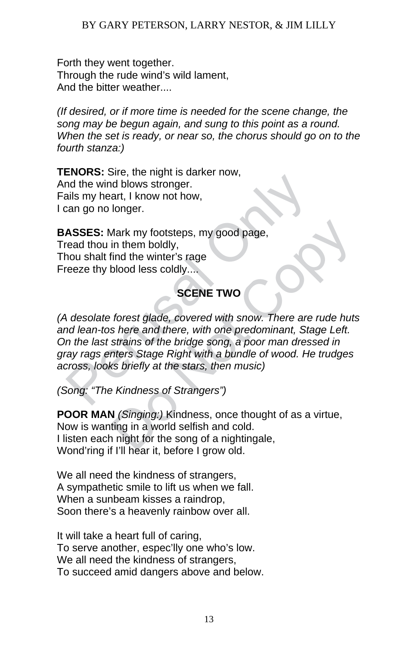Forth they went together. Through the rude wind's wild lament, And the bitter weather....

*(If desired, or if more time is needed for the scene change, the song may be begun again, and sung to this point as a round. When the set is ready, or near so, the chorus should go on to the fourth stanza:)*

**TENORS:** Sire, the night is darker now, And the wind blows stronger. Fails my heart, I know not how, I can go no longer.

**BASSES:** Mark my footsteps, my good page, Tread thou in them boldly, Thou shalt find the winter's rage Freeze thy blood less coldly....

# **SCENE TWO**

Exercise the wind blows stronger.<br>
And the wind blows stronger.<br>
ASSES: Mark my footsteps, my good page,<br>
read thou in them boldly,<br>
nou shalt find the winter's rage<br>
reeze thy blood less coldly....<br>
SCENE TWO<br>
A desolate Mark my footsteps, my good page,<br>
in them boldly,<br>
find the winter's rage<br>
blood less coldly....<br>
SCENE TWO<br>
forest glade, covered with snow. There are rude huts<br>
shere and there, with one predominant, Stage Left.<br>
strains *(A desolate forest glade, covered with snow. There are rude huts and lean-tos here and there, with one predominant, Stage Left. On the last strains of the bridge song, a poor man dressed in gray rags enters Stage Right with a bundle of wood. He trudges across, looks briefly at the stars, then music)* 

*(Song: "The Kindness of Strangers")*

**POOR MAN** *(Singing:)* Kindness, once thought of as a virtue, Now is wanting in a world selfish and cold. I listen each night for the song of a nightingale, Wond'ring if I'll hear it, before I grow old.

We all need the kindness of strangers, A sympathetic smile to lift us when we fall. When a sunbeam kisses a raindrop, Soon there's a heavenly rainbow over all.

It will take a heart full of caring, To serve another, espec'lly one who's low. We all need the kindness of strangers, To succeed amid dangers above and below.